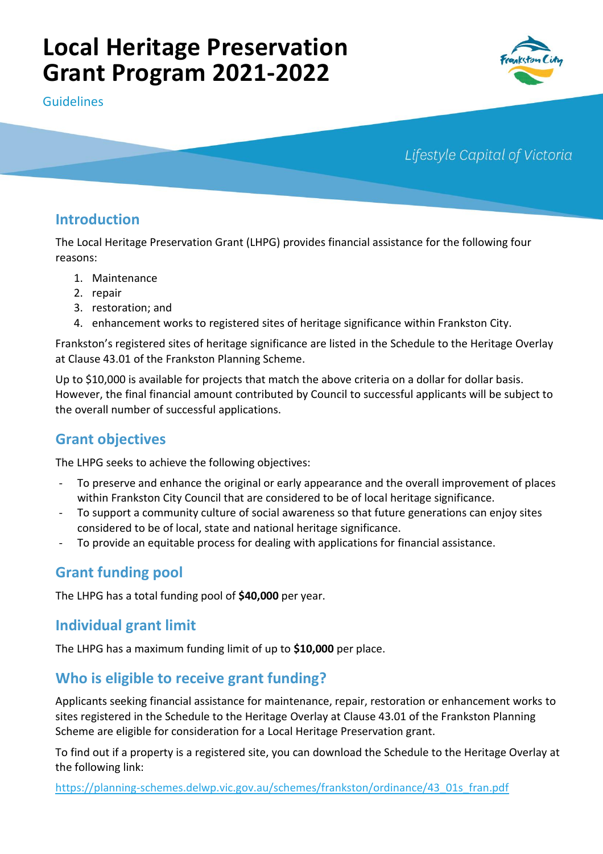# **Local Heritage Preservation Grant Program 2021-2022**

Guidelines



Lifestyle Capital of Victoria

# **Introduction**

The Local Heritage Preservation Grant (LHPG) provides financial assistance for the following four reasons:

- 1. Maintenance
- 2. repair
- 3. restoration; and
- 4. enhancement works to registered sites of heritage significance within Frankston City.

Frankston's registered sites of heritage significance are listed in the Schedule to the Heritage Overlay at Clause 43.01 of the Frankston Planning Scheme.

Up to \$10,000 is available for projects that match the above criteria on a dollar for dollar basis. However, the final financial amount contributed by Council to successful applicants will be subject to the overall number of successful applications.

# **Grant objectives**

The LHPG seeks to achieve the following objectives:

- To preserve and enhance the original or early appearance and the overall improvement of places within Frankston City Council that are considered to be of local heritage significance.
- To support a community culture of social awareness so that future generations can enjoy sites considered to be of local, state and national heritage significance.
- To provide an equitable process for dealing with applications for financial assistance.

## **Grant funding pool**

The LHPG has a total funding pool of **\$40,000** per year.

## **Individual grant limit**

The LHPG has a maximum funding limit of up to **\$10,000** per place.

# **Who is eligible to receive grant funding?**

Applicants seeking financial assistance for maintenance, repair, restoration or enhancement works to sites registered in the Schedule to the Heritage Overlay at Clause 43.01 of the Frankston Planning Scheme are eligible for consideration for a Local Heritage Preservation grant.

To find out if a property is a registered site, you can download the Schedule to the Heritage Overlay at the following link:

[https://planning-schemes.delwp.vic.gov.au/schemes/frankston/ordinance/43\\_01s\\_fran.pdf](https://planning-schemes.delwp.vic.gov.au/schemes/frankston/ordinance/43_01s_fran.pdf)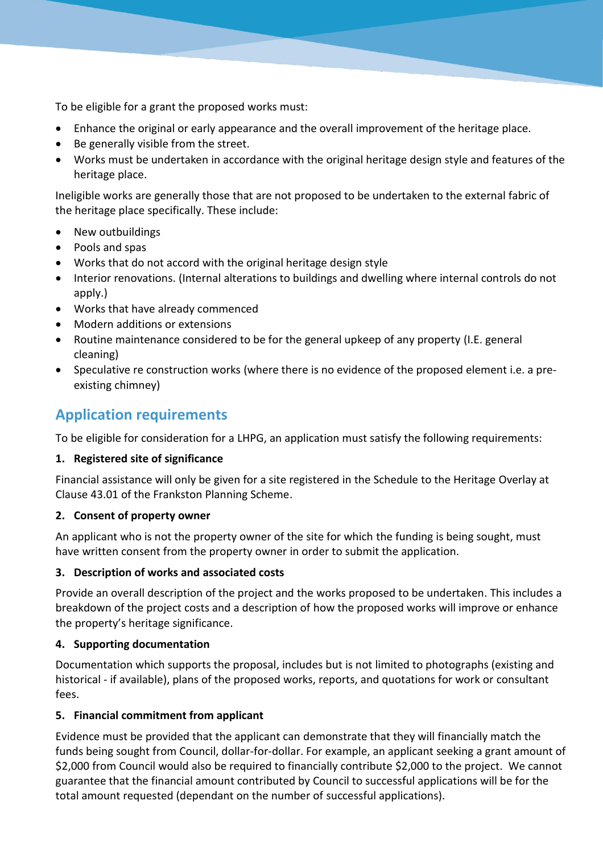To be eligible for a grant the proposed works must:

- Enhance the original or early appearance and the overall improvement of the heritage place.
- Be generally visible from the street.
- Works must be undertaken in accordance with the original heritage design style and features of the heritage place.

Ineligible works are generally those that are not proposed to be undertaken to the external fabric of the heritage place specifically. These include:

- New outbuildings
- Pools and spas
- Works that do not accord with the original heritage design style
- Interior renovations. (Internal alterations to buildings and dwelling where internal controls do not apply.)
- Works that have already commenced
- Modern additions or extensions
- Routine maintenance considered to be for the general upkeep of any property (I.E. general cleaning)
- Speculative re construction works (where there is no evidence of the proposed element i.e. a preexisting chimney)

# **Application requirements**

To be eligible for consideration for a LHPG, an application must satisfy the following requirements:

## **1. Registered site of significance**

Financial assistance will only be given for a site registered in the Schedule to the Heritage Overlay at Clause 43.01 of the Frankston Planning Scheme.

## **2. Consent of property owner**

An applicant who is not the property owner of the site for which the funding is being sought, must have written consent from the property owner in order to submit the application.

## **3. Description of works and associated costs**

Provide an overall description of the project and the works proposed to be undertaken. This includes a breakdown of the project costs and a description of how the proposed works will improve or enhance the property's heritage significance.

## **4. Supporting documentation**

Documentation which supports the proposal, includes but is not limited to photographs (existing and historical - if available), plans of the proposed works, reports, and quotations for work or consultant fees.

## **5. Financial commitment from applicant**

Evidence must be provided that the applicant can demonstrate that they will financially match the funds being sought from Council, dollar-for-dollar. For example, an applicant seeking a grant amount of \$2,000 from Council would also be required to financially contribute \$2,000 to the project. We cannot guarantee that the financial amount contributed by Council to successful applications will be for the total amount requested (dependant on the number of successful applications).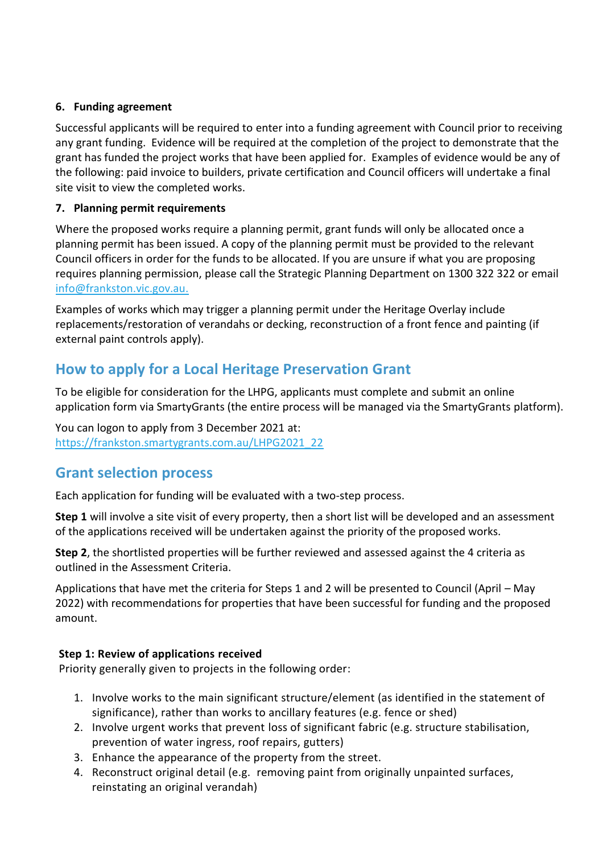## **6. Funding agreement**

Successful applicants will be required to enter into a funding agreement with Council prior to receiving any grant funding. Evidence will be required at the completion of the project to demonstrate that the grant has funded the project works that have been applied for. Examples of evidence would be any of the following: paid invoice to builders, private certification and Council officers will undertake a final site visit to view the completed works.

## **7. Planning permit requirements**

Where the proposed works require a planning permit, grant funds will only be allocated once a planning permit has been issued. A copy of the planning permit must be provided to the relevant Council officers in order for the funds to be allocated. If you are unsure if what you are proposing requires planning permission, please call the Strategic Planning Department on 1300 322 322 or email [info@frankston.vic.gov.au.](info@frankston.vic.gov.au.%20)

Examples of works which may trigger a planning permit under the Heritage Overlay include replacements/restoration of verandahs or decking, reconstruction of a front fence and painting (if external paint controls apply).

# **How to apply for a Local Heritage Preservation Grant**

To be eligible for consideration for the LHPG, applicants must complete and submit an online application form via SmartyGrants (the entire process will be managed via the SmartyGrants platform).

You can logon to apply from 3 December 2021 at: [https://frankston.smartygrants.com.au/LHPG2021\\_22](https://frankston.smartygrants.com.au/LHPG2021_22)

## **Grant selection process**

Each application for funding will be evaluated with a two-step process.

**Step 1** will involve a site visit of every property, then a short list will be developed and an assessment of the applications received will be undertaken against the priority of the proposed works.

**Step 2**, the shortlisted properties will be further reviewed and assessed against the 4 criteria as outlined in the Assessment Criteria.

Applications that have met the criteria for Steps 1 and 2 will be presented to Council (April – May 2022) with recommendations for properties that have been successful for funding and the proposed amount.

## **Step 1: Review of applications received**

Priority generally given to projects in the following order:

- 1. Involve works to the main significant structure/element (as identified in the statement of significance), rather than works to ancillary features (e.g. fence or shed)
- 2. Involve urgent works that prevent loss of significant fabric (e.g. structure stabilisation, prevention of water ingress, roof repairs, gutters)
- 3. Enhance the appearance of the property from the street.
- 4. Reconstruct original detail (e.g. removing paint from originally unpainted surfaces, reinstating an original verandah)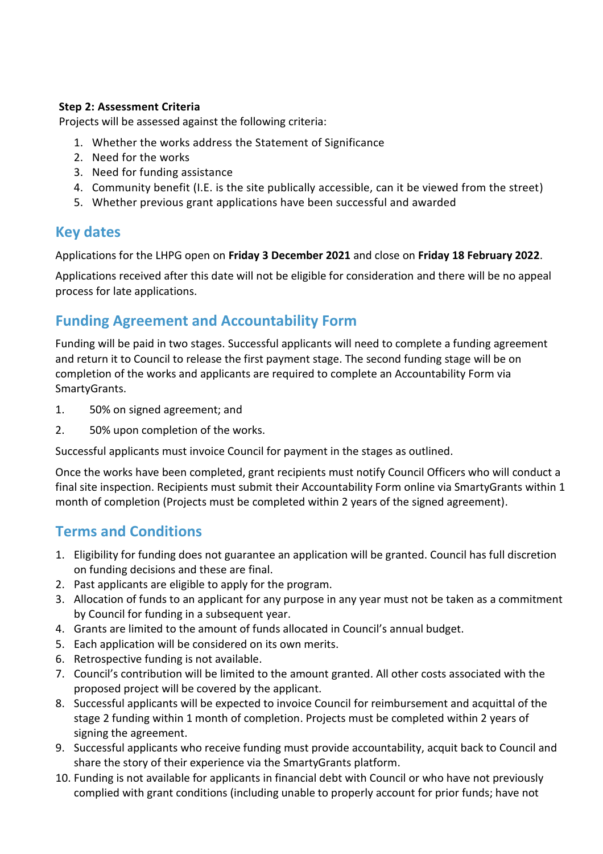### **Step 2: Assessment Criteria**

Projects will be assessed against the following criteria:

- 1. Whether the works address the Statement of Significance
- 2. Need for the works
- 3. Need for funding assistance
- 4. Community benefit (I.E. is the site publically accessible, can it be viewed from the street)
- 5. Whether previous grant applications have been successful and awarded

## **Key dates**

Applications for the LHPG open on **Friday 3 December 2021** and close on **Friday 18 February 2022**.

Applications received after this date will not be eligible for consideration and there will be no appeal process for late applications.

# **Funding Agreement and Accountability Form**

Funding will be paid in two stages. Successful applicants will need to complete a funding agreement and return it to Council to release the first payment stage. The second funding stage will be on completion of the works and applicants are required to complete an Accountability Form via SmartyGrants.

- 1. 50% on signed agreement; and
- 2. 50% upon completion of the works.

Successful applicants must invoice Council for payment in the stages as outlined.

Once the works have been completed, grant recipients must notify Council Officers who will conduct a final site inspection. Recipients must submit their Accountability Form online via SmartyGrants within 1 month of completion (Projects must be completed within 2 years of the signed agreement).

## **Terms and Conditions**

- 1. Eligibility for funding does not guarantee an application will be granted. Council has full discretion on funding decisions and these are final.
- 2. Past applicants are eligible to apply for the program.
- 3. Allocation of funds to an applicant for any purpose in any year must not be taken as a commitment by Council for funding in a subsequent year.
- 4. Grants are limited to the amount of funds allocated in Council's annual budget.
- 5. Each application will be considered on its own merits.
- 6. Retrospective funding is not available.
- 7. Council's contribution will be limited to the amount granted. All other costs associated with the proposed project will be covered by the applicant.
- 8. Successful applicants will be expected to invoice Council for reimbursement and acquittal of the stage 2 funding within 1 month of completion. Projects must be completed within 2 years of signing the agreement.
- 9. Successful applicants who receive funding must provide accountability, acquit back to Council and share the story of their experience via the SmartyGrants platform.
- 10. Funding is not available for applicants in financial debt with Council or who have not previously complied with grant conditions (including unable to properly account for prior funds; have not